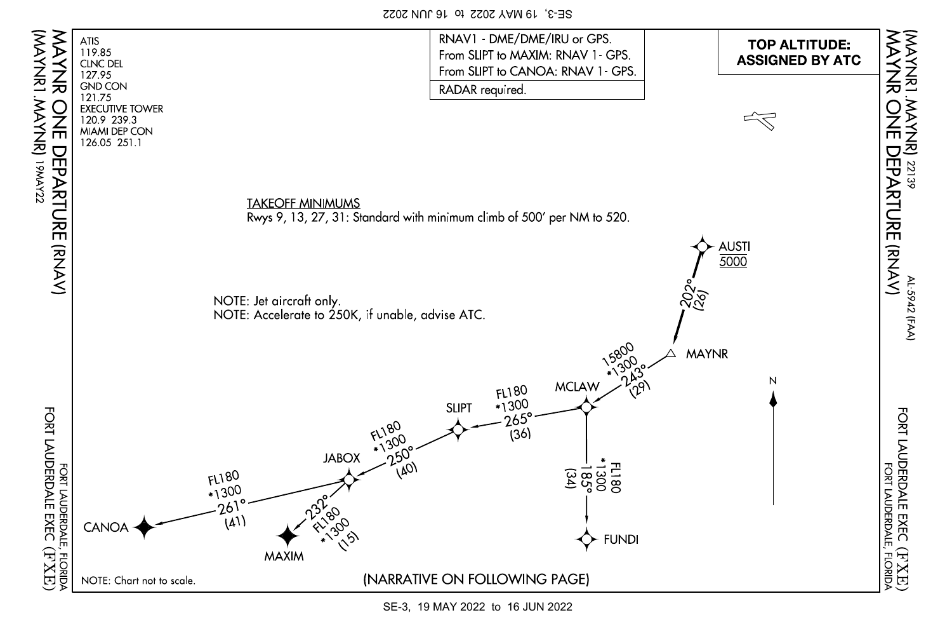SE-3, 19 MAY 2022 to 16 JUN 2022

(MAYNR1.MAYNR)

(AMYNRI .MAYNR)<br>19<sub>M</sub>x222



SE-3, 19 MAY 2022 to 16 JUN 2022